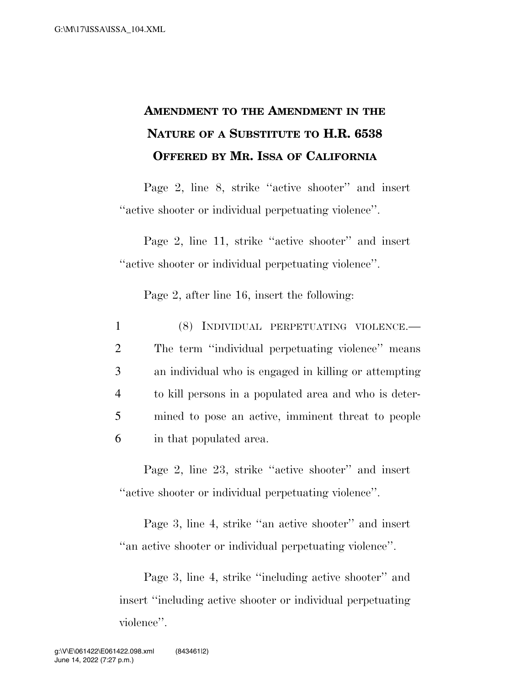## **AMENDMENT TO THE AMENDMENT IN THE NATURE OF A SUBSTITUTE TO H.R. 6538 OFFERED BY MR. ISSA OF CALIFORNIA**

Page 2, line 8, strike ''active shooter'' and insert ''active shooter or individual perpetuating violence''.

Page 2, line 11, strike ''active shooter'' and insert ''active shooter or individual perpetuating violence''.

Page 2, after line 16, insert the following:

 (8) INDIVIDUAL PERPETUATING VIOLENCE.— The term ''individual perpetuating violence'' means an individual who is engaged in killing or attempting to kill persons in a populated area and who is deter- mined to pose an active, imminent threat to people in that populated area.

Page 2, line 23, strike ''active shooter'' and insert ''active shooter or individual perpetuating violence''.

Page 3, line 4, strike ''an active shooter'' and insert ''an active shooter or individual perpetuating violence''.

Page 3, line 4, strike ''including active shooter'' and insert ''including active shooter or individual perpetuating violence''.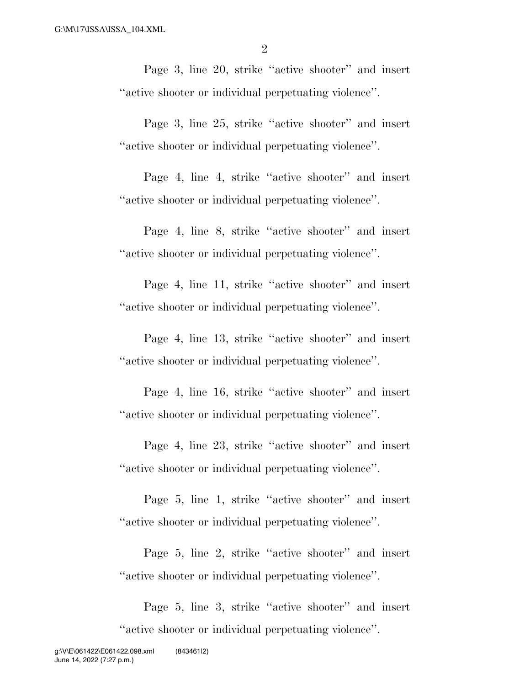Page 3, line 20, strike "active shooter" and insert ''active shooter or individual perpetuating violence''.

Page 3, line 25, strike ''active shooter'' and insert ''active shooter or individual perpetuating violence''.

Page 4, line 4, strike ''active shooter'' and insert ''active shooter or individual perpetuating violence''.

Page 4, line 8, strike ''active shooter'' and insert ''active shooter or individual perpetuating violence''.

Page 4, line 11, strike "active shooter" and insert ''active shooter or individual perpetuating violence''.

Page 4, line 13, strike "active shooter" and insert ''active shooter or individual perpetuating violence''.

Page 4, line 16, strike "active shooter" and insert ''active shooter or individual perpetuating violence''.

Page 4, line 23, strike "active shooter" and insert ''active shooter or individual perpetuating violence''.

Page 5, line 1, strike ''active shooter'' and insert ''active shooter or individual perpetuating violence''.

Page 5, line 2, strike "active shooter" and insert ''active shooter or individual perpetuating violence''.

Page 5, line 3, strike ''active shooter'' and insert ''active shooter or individual perpetuating violence''.